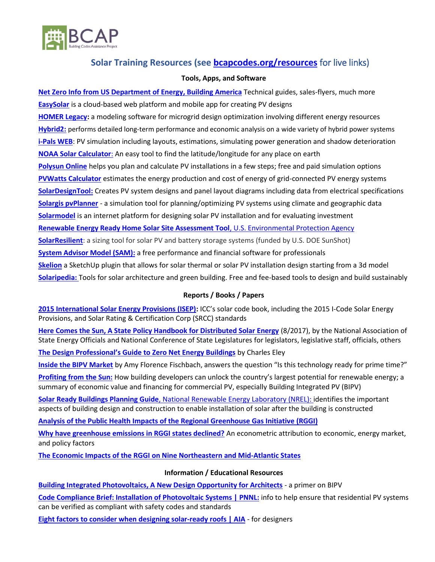

# **Solar Training Resources (see [bcapcodes.org/resources](http://bcapcodes.org/resources/)** for live links)

### **Tools, Apps, and Software**

**[Net Zero Info from US Department of Energy,](https://basc.pnnl.gov/) Building America** Technical guides, sales-flyers, much more **[EasySolar](http://easysolar-app.com/en/)** is a cloud-based web platform and mobile app for creating PV designs **[HOMER Legacy:](https://www.homerenergy.com/)** a modeling software for microgrid design optimization involving different energy resources **[Hybrid2:](http://www.umass.edu/windenergy/research/topics/tools/software/hybrid2)** performs detailed long-term performance and economic analysis on a wide variety of hybrid power systems **[i-Pals WEB](https://i-pals.nippon-control-system.co.jp/index_en.html)**: PV simulation including layouts, estimations, simulating power generation and shadow deterioration **[NOAA Solar Calculator](https://www.esrl.noaa.gov/gmd/grad/solcalc/)**: An easy tool to find the latitude/longitude for any place on earth **[Polysun Online](http://www.polysunonline.com/PsoPublic/app/home/access)** helps you plan and calculate PV installations in a few steps; free and paid simulation options **[PVWatts Calculator](http://pvwatts.nrel.gov/)** estimates the energy production and cost of energy of grid-connected PV energy systems **[SolarDesignTool:](http://get.solardesigntool.com/)** Creates PV system designs and panel layout diagrams including data from electrical specifications **[Solargis pvPlanner](http://solargis.info/pvplanner/#tl=Google:hybrid&bm=satellite)** - a simulation tool for planning/optimizing PV systems using climate and geographic data **[Solarmodel](http://www.solarmodel.com/)** is an internet platform for designing solar PV installation and for evaluating investment **[Renewable Energy Ready Home Solar Site Assessment Tool](https://www.energystar.gov/index.cfm?c=rerh.assessment)**, U.S. Environmental Protection Agency **[SolarResilient](https://solarresilient.org/)**: a sizing tool for solar PV and battery storage systems (funded by U.S. DOE SunShot) **[System Advisor Model \(SAM\):](https://sam.nrel.gov/)** a free performance and financial software for professionals **[Skelion](http://www.skelion.com/)** a SketchUp plugin that allows for solar thermal or solar PV installation design starting from a 3d model **[Solaripedia:](http://www.solaripedia.com/184/tools.html)** Tools for solar architecture and green building. Free and fee-based tools to design and build sustainably

## **Reports / Books / Papers**

**[2015 International Solar Energy Provisions \(ISEP\):](http://shop.iccsafe.org/catalog/product/view/id/43202/s/2015-international-solar-energy-provisionsr/)** ICC's solar code book, including the 2015 I-Code Solar Energy Provisions, and Solar Rating & Certification Corp (SRCC) standards

**[Here Comes the Sun, A State Policy Handbook for Distributed Solar Energy](file:///C:/Users/mellingson/AppData/Local/Microsoft/Windows/INetCache/Content.Outlook/1X3KPA1D/SolarEnergyToolkit_31552%20(003).pdf)** (8/2017), by the National Association of State Energy Officials and National Conference of State Legislatures for legislators, legislative staff, officials, others **The Design Prof[essional's Guide to Zero Net Energy Buildings](http://www.greenbuildermedia.com/buildingscience/design-professionals-guide-to-net-zero-energy-buildings)** by Charles Eley

**[Inside the BIPV Market](http://www.ecmweb.com/contractor/inside-bipv-market)** by Amy Florence Fischbach, answers the question "Is this technology ready for prime time?"

**[Profiting from the Sun:](http://www.pointenergyinnovations.com/profiting-from-the-sun/)** How building developers can unlock the country's largest potential for renewable energy; a summary of economic value and financing for commercial PV, especially Building Integrated PV (BIPV)

**[Solar Ready Buildings Planning Guide](https://www.nrel.gov/docs/fy10osti/46078.pdf)**, National Renewable Energy Laboratory (NREL): identifies the important aspects of building design and construction to enable installation of solar after the building is constructed

**[Analysis of the Public Health Impacts of the Regional Greenhouse Gas Initiative](http://www.abtassociates.com/AbtAssociates/files/d0/d0c73dbb-4921-4cd5-a4d5-b1f587ccb99d.pdf) (RGGI)**

**[Why have greenhouse emissions in RGGI states declined?](https://www.sciencedirect.com/science/article/pii/S0140988315002273)** An econometric attribution to economic, energy market, and policy factors

**The Economic Impacts of the RGGI [on Nine Northeastern and Mid-Atlantic States](http://www.analysisgroup.com/uploadedfiles/content/insights/publishing/analysis_group_rggi_report_july_2015.pdf)**

## **Information / Educational Resources**

**[Building Integrated Photovoltaics, A New Design Opportunity for Architects](http://www.aie.eu/files/RES%20TF/BIPV_web.pdf)** - a primer on BIPV

**[Code Compliance Brief: Installation of Photovoltaic Systems | PNNL:](https://basc.pnnl.gov/code-compliance/installation-photovoltaic-systems-code-compliance-brief)** info to help ensure that residential PV systems can be verified as compliant with safety codes and standards

**[Eight factors to consider when designing solar-ready roofs | AIA](https://www.aia.org/articles/15451-eight-factors-to-consider-when-designing-sol)** - for designers